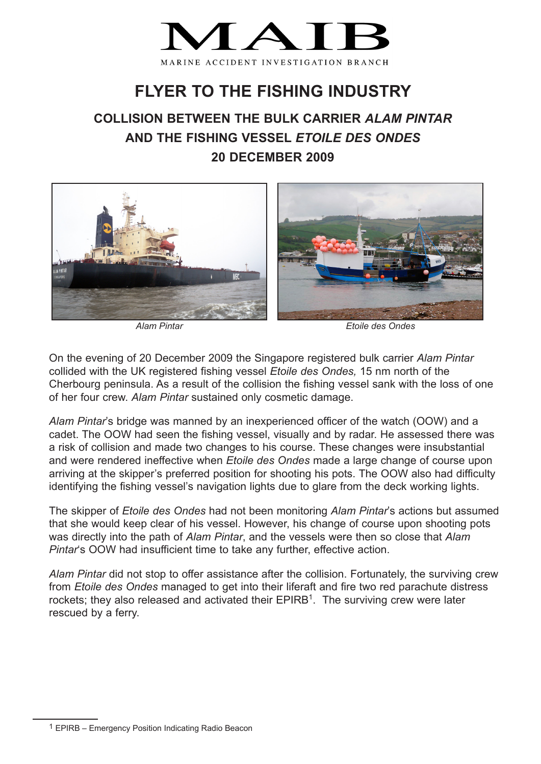

## **FLYER TO THE FISHING INDUSTRY**

## **COLLISION BETWEEN THE BULK CARRIER** *ALAM PINTAR* **AND THE FISHING VESSEL** *ETOILE DES ONDES* **20 DECEMBER 2009**



*Alam Pintar Etoile des Ondes*

On the evening of 20 December 2009 the Singapore registered bulk carrier *Alam Pintar* collided with the UK registered fishing vessel *Etoile des Ondes,* 15 nm north of the Cherbourg peninsula. As a result of the collision the fishing vessel sank with the loss of one of her four crew. *Alam Pintar* sustained only cosmetic damage.

*Alam Pintar*'s bridge was manned by an inexperienced officer of the watch (OOW) and a cadet. The OOW had seen the fishing vessel, visually and by radar. He assessed there was a risk of collision and made two changes to his course. These changes were insubstantial and were rendered ineffective when *Etoile des Ondes* made a large change of course upon arriving at the skipper's preferred position for shooting his pots. The OOW also had difficulty identifying the fishing vessel's navigation lights due to glare from the deck working lights.

The skipper of *Etoile des Ondes* had not been monitoring *Alam Pintar*'s actions but assumed that she would keep clear of his vessel. However, his change of course upon shooting pots was directly into the path of *Alam Pintar*, and the vessels were then so close that *Alam Pintar*'s OOW had insufficient time to take any further, effective action.

*Alam Pintar* did not stop to offer assistance after the collision. Fortunately, the surviving crew from *Etoile des Ondes* managed to get into their liferaft and fire two red parachute distress rockets; they also released and activated their  $EPIRB<sup>1</sup>$ . The surviving crew were later rescued by a ferry.

<sup>1</sup> EPIRB – Emergency Position Indicating Radio Beacon